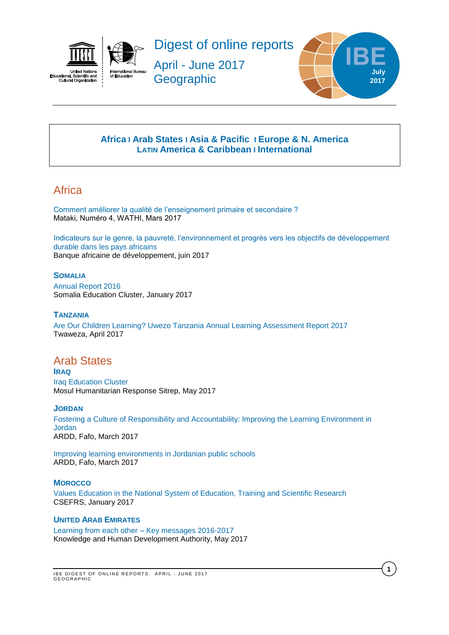



Digest of online reports

April - June 2017 **Geographic** 



**1**

## **[Africa](#page-0-0) I Arab States I [Asia & Pacific](#page-0-1) I [Europe & N. America](#page-1-0) LATIN [America & Caribbean](#page-3-0) I [International](#page-4-0)**

# <span id="page-0-0"></span>Africa

[Comment améliorer la qualité de l'enseignement primaire et secondaire ?](http://www.wathi.org/wp-content/uploads/2017/03/Mataki_Education.pdf)  Mataki, Numéro 4, WATHI, Mars 2017

[Indicateurs sur le genre, la pauvreté, l'environnement et progrès vers les objectifs de développement](https://www.afdb.org/fileadmin/uploads/afdb/Documents/Publications/GENDER_Poverty_and_Environmental_Indicators_on_African_Countries-2017.pdf) [durable dans les pays africains](https://www.afdb.org/fileadmin/uploads/afdb/Documents/Publications/GENDER_Poverty_and_Environmental_Indicators_on_African_Countries-2017.pdf) Banque africaine de développement, juin 2017

## **SOMALIA**

[Annual Report 2016](http://reliefweb.int/sites/reliefweb.int/files/resources/somalia_education_cluster_annual_report_2016.pdf)  Somalia Education Cluster, January 2017

## **TANZANIA**

[Are Our Children Learning? Uwezo Tanzania Annual Learning Assessment Report 2017](http://www.twaweza.org/uploads/files/Tanzania%20Report%202017%20Web%20Version.pdf)  Twaweza, April 2017

## Arab States

**IRAQ** [Iraq Education Cluster](https://www.humanitarianresponse.info/system/files/documents/files/education_cluster_situation_report_-_7_may_2017.pdf)  Mosul Humanitarian Response Sitrep, May 2017

## **JORDAN**

[Fostering a Culture of Responsibility and Accountability: Improving the Learning Environment in](https://ardd-jo.org/sites/default/files/resource-files/fostering_a_culture_of_responsibility_and_accountability.compressed.pdf)  [Jordan](https://ardd-jo.org/sites/default/files/resource-files/fostering_a_culture_of_responsibility_and_accountability.compressed.pdf) ARDD, Fafo, March 2017

[Improving learning environments in Jordanian public schools](https://ardd-jo.org/sites/default/files/resource-files/improving_learning_environments_in_jordanian_public_schools.compressed_12_0.pdf) ARDD, Fafo, March 2017

## **MOROCCO**

[Values Education in the National System of Education, Training and Scientific Research](http://www.csefrs.ma/pdf/Resume-REAV-EN.pdf)  CSEFRS, January 2017

#### <span id="page-0-1"></span>**UNITED ARAB EMIRATES**

[Learning from each other –](https://www.khda.gov.ae/Areas/Administration/Content/FileUploads/Publication/Documents/English/20170516132050_KF2017_En.pdf) Key messages 2016-2017 Knowledge and Human Development Authority, May 2017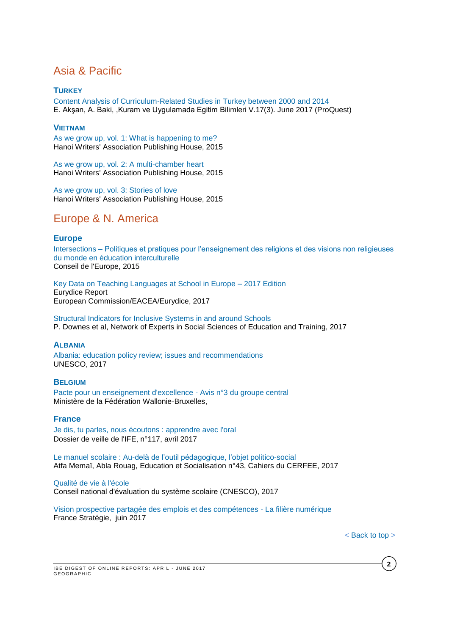# Asia & Pacific

## **TURKEY**

[Content Analysis of Curriculum-Related Studies in Turkey between 2000 and 2014](http://search.proquest.com/central/docview/1912501534/fulltextPDF/726D76EF98C439FPQ/2?accountid=41859) E. Akşan, A. Baki, ,Kuram ve Uygulamada Egitim Bilimleri V.17(3). June 2017 (ProQuest)

## **VIETNAM**

[As we grow up, vol. 1: What is happening to me?](http://unesdoc.unesco.org/images/0024/002446/244640e.pdf) Hanoi Writers' Association Publishing House, 2015

[As we grow up, vol. 2: A multi-chamber heart](http://unesdoc.unesco.org/images/0024/002446/244641e.pdf) Hanoi Writers' Association Publishing House, 2015

[As we grow up, vol. 3: Stories of love](http://unesdoc.unesco.org/images/0024/002446/244642e.pdf) Hanoi Writers' Association Publishing House, 2015

# <span id="page-1-0"></span>Europe & N. America

## **Europe**

Intersections – [Politiques et pratiques pour l'enseignement des religions et des visions non religieuses](https://rm.coe.int/16806cd2f6)  [du monde en éducation interculturelle](https://rm.coe.int/16806cd2f6) Conseil de l'Europe, 2015

[Key Data on Teaching Languages at School in Europe –](https://webgate.ec.europa.eu/fpfis/mwikis/eurydice/images/0/06/KDL_2017_internet.pdf) 2017 Edition Eurydice Report European Commission/EACEA/Eurydice, 2017

[Structural Indicators for Inclusive Systems in and around Schools](https://bookshop.europa.eu/en/structural-indicators-for-inclusive-systems-in-and-around-schools-pbNC0116894/) P. Downes et al, Network of Experts in Social Sciences of Education and Training, 2017

## **ALBANIA**

[Albania: education policy review; issues and recommendations](http://unesdoc.unesco.org/images/0024/002479/247993e.pdf) UNESCO, 2017

## **BELGIUM**

[Pacte pour un enseignement d'excellence -](http://www.pactedexcellence.be/wp-content/uploads/2017/04/PACTE-Avis3_versionfinale.pdf) Avis n°3 du groupe central Ministère de la Fédération Wallonie-Bruxelles,

## **France**

[Je dis, tu parles, nous écoutons : apprendre avec l'oral](http://ife.ens-lyon.fr/vst/DA-Veille/117-avril-2017.pdf) Dossier de veille de l'IFE, n°117, avril 2017

Le manuel scolaire [: Au-delà de l'outil pédagogique, l'objet politico-social](http://edso.revues.org/2014) Atfa Memaï, Abla Rouag, Education et Socialisation n°43, Cahiers du CERFEE, 2017

[Qualité de vie à l'école](https://www.cnesco.fr/fr/qualite-de-vie-a-lecole/)

Conseil national d'évaluation du système scolaire (CNESCO), 2017

[Vision prospective partagée des emplois et des compétences -](http://www.strategie.gouv.fr/sites/strategie.gouv.fr/files/atoms/files/fs-rapport-rec-vppec-numerique-8juin-final_0.pdf) La filière numérique France Stratégie, juin 2017

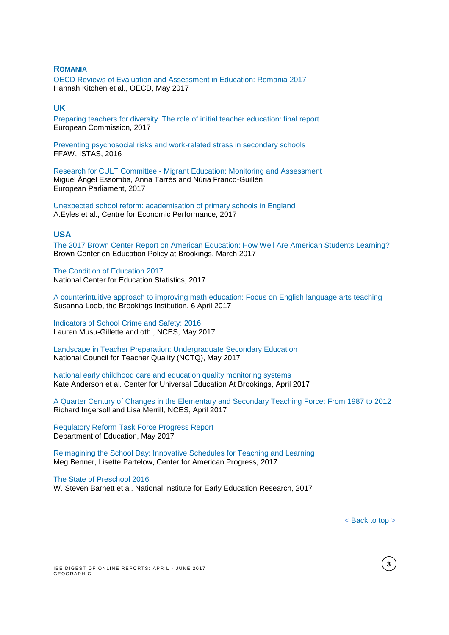#### **ROMANIA**

OECD Reviews of Evaluation and [Assessment](http://www.oecd-ilibrary.org/education/romania-2017_9789264274051-en) in Education: Romania 2017 Hannah Kitchen et al., OECD, May 2017

### **UK**

[Preparing teachers for diversity. The role of initial teacher education: final report](https://publications.europa.eu/fr/publication-detail/-/publication/b347bf7d-1db1-11e7-aeb3-01aa75ed71a1) European Commission, 2017

[Preventing psychosocial risks and work-related stress in secondary schools](https://www.csee-etuce.org/images/attachments/Report_ETUCE_EFEE_Stress_reduction_project_FFAW-ISTAS_120416_2.pdf) FFAW, ISTAS, 2016

Research for CULT Committee - [Migrant Education: Monitoring and Assessment](http://www.europarl.europa.eu/RegData/etudes/STUD/2017/585903/IPOL_STU(2017)585903_EN.pdf) Miguel Àngel Essomba, Anna Tarrés and Núria Franco-Guillén European Parliament, 2017

[Unexpected school reform: academisation of primary schools in England](http://eprints.lse.ac.uk/69027/) A.Eyles et al., Centre for Economic Performance, 2017

#### **USA**

[The 2017 Brown Center Report on American Education: How Well Are American Students Learning?](https://www.brookings.edu/wp-content/uploads/2017/03/2017-brown-center-report-on-american-education.pdf) Brown Center on Education Policy at Brookings, March 2017

[The Condition of Education 2017](https://nces.ed.gov/pubsearch/pubsinfo.asp?pubid=2017144) National Center for Education Statistics, 2017

[A counterintuitive approach to improving math education: Focus on English language arts teaching](https://www.brookings.edu/research/a-counterintuitive-approach-to-improving-math-education-focus-on-english-language-arts-teaching/) Susanna Loeb, the Brookings Institution, 6 April 2017

[Indicators of School Crime and Safety: 2016](https://nces.ed.gov/pubs2017/2017064.pdf) Lauren Musu-Gillette and oth., NCES, May 2017

[Landscape in Teacher Preparation: Undergraduate Secondary Education](http://www.nctq.org/dmsView/Landscapes_-_2017_UG_Secondary) National Council for Teacher Quality (NCTQ), May 2017

[National early childhood care and education quality monitoring systems](https://www.brookings.edu/wp-content/uploads/2017/04/global_20170427_early-childhood-care.pdf) Kate Anderson et al. Center for Universal Education At Brookings, April 2017

[A Quarter Century of Changes in the Elementary and Secondary Teaching Force: From 1987 to 2012](https://nces.ed.gov/pubs2017/2017092.pdf) Richard Ingersoll and Lisa Merrill, NCES, April 2017

[Regulatory Reform Task Force Progress Report](https://www2.ed.gov/documents/press-releases/regulatory-reform-task-force-progress-report.pdf?utm_content=&utm_medium=email&utm_name=&utm_source=govdelivery&utm_term=) Department of Education, May 2017

[Reimagining the School Day: Innovative Schedules for Teaching and Learning](https://cdn.americanprogress.org/content/uploads/2017/02/22121614/022217_InnovativeSchool-brief.pdf) Meg Benner, Lisette Partelow, Center for American Progress, 2017

[The State of Preschool 2016](http://nieer.org/wp-content/uploads/2017/05/YB2016_StateofPreschool2.pdf)

W. Steven Barnett et al. National Institute for Early Education Research, 2017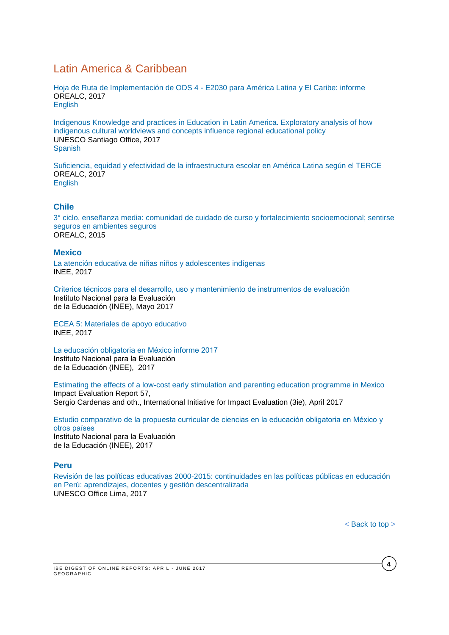# <span id="page-3-0"></span>Latin America & Caribbean

Hoja de Ruta de Implementación de ODS 4 - [E2030 para América Latina y El Caribe: informe](http://unesdoc.unesco.org/images/0024/002498/249810s.pdf) OREALC, 2017 [English](http://unesdoc.unesco.org/images/0024/002498/249810e.pdf)

[Indigenous Knowledge and practices in Education in Latin America. Exploratory analysis of how](http://unesdoc.unesco.org/images/0024/002477/247754E.pdf)  [indigenous cultural worldviews and concepts influence regional educational policy](http://unesdoc.unesco.org/images/0024/002477/247754E.pdf) UNESCO Santiago Office, 2017 **[Spanish](http://unesdoc.unesco.org/images/0024/002477/247754S.pdf)** 

[Suficiencia, equidad y efectividad de la infraestructura escolar en América Latina según el TERCE](http://unesdoc.unesco.org/images/0024/002475/247571s.pdf) OREALC, 2017 [English](http://unesdoc.unesco.org/images/0024/002475/247571e.pdf)

## **Chile**

[3° ciclo, enseñanza media: comunidad de cuidado de curso y fortalecimiento socioemocional; sentirse](http://unesdoc.unesco.org/images/0024/002446/244694s.pdf)  [seguros en ambientes seguros](http://unesdoc.unesco.org/images/0024/002446/244694s.pdf) OREALC, 2015

#### **Mexico**

[La atención educativa de niñas niños y adolescentes](http://publicaciones.inee.edu.mx/buscadorPub/P2/A/324/P2A324.pdf) indígenas INEE, 2017

[Criterios técnicos para el desarrollo, uso y mantenimiento de instrumentos de evaluación](http://publicaciones.inee.edu.mx/buscadorPub/P1/E/104/P1E104.pdf) Instituto Nacional para la Evaluación de la Educación (INEE), Mayo 2017

[ECEA 5: Materiales de apoyo educativo](http://publicaciones.inee.edu.mx/buscadorPub/P2/A/325/P2A325.pdf) INEE, 2017

[La educación obligatoria en México informe 2017](http://publicaciones.inee.edu.mx/buscadorPub/P1/I/242/P1I242.pdf)  Instituto Nacional para la Evaluación de la Educación (INEE), 2017

[Estimating the effects of a low-cost early stimulation and parenting education programme in Mexico](http://www.3ieimpact.org/media/filer_public/2017/04/24/ie57-mexico-childcare.pdf)  Impact Evaluation Report 57,

Sergio Cardenas and oth., International Initiative for Impact Evaluation (3ie), April 2017

Estudio comparativo [de la propuesta curricular de ciencias en la educación obligatoria en México y](http://publicaciones.inee.edu.mx/buscadorPub/P1/F/211/P1F211.pdf)  [otros países](http://publicaciones.inee.edu.mx/buscadorPub/P1/F/211/P1F211.pdf)  Instituto Nacional para la Evaluación de la Educación (INEE), 2017

#### **Peru**

Revisión [de las políticas educativas 2000-2015: continuidades en las políticas públicas en educación](http://unesdoc.unesco.org/images/0024/002491/249171s.pdf)  [en Perú: aprendizajes, docentes y gestión descentralizada](http://unesdoc.unesco.org/images/0024/002491/249171s.pdf) UNESCO Office Lima, 2017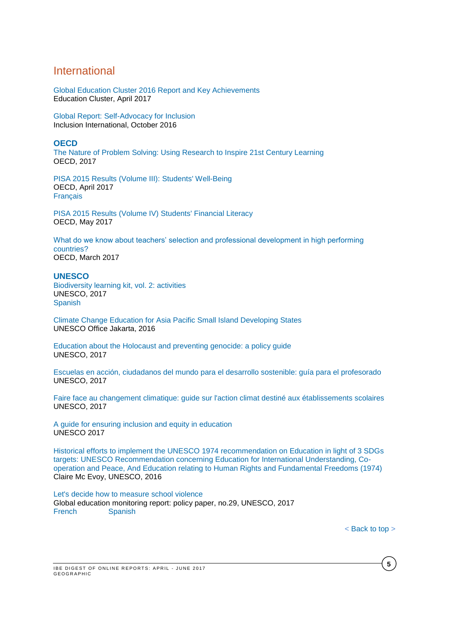## <span id="page-4-0"></span>International

[Global Education Cluster 2016 Report and Key Achievements](http://educationcluster.net/wp-content/uploads/2017/04/Global-Education-Cluster-2016-Report_FINAL_2017-03-22.pdf) Education Cluster, April 2017

[Global Report: Self-Advocacy for Inclusion](http://inclusion-international.org/wp-content/uploads/2016/11/Global-report-on-self-advocacy.pdf) Inclusion International, October 2016

#### **OECD**

[The Nature of Problem Solving: Using Research to Inspire 21st Century Learning](http://www.oecd-ilibrary.org/education/the-nature-of-problem-solving_9789264273955-en) OECD, 2017

[PISA 2015 Results \(Volume III\): Students' Well-Being](http://www.oecd-ilibrary.org/docserver/download/9817021e.pdf?expires=1493107433&id=id&accname=guest&checksum=5DF0F1DD2AAF90FC509BB7330C5B10FE) OECD, April 2017 [Français](http://www.oecd.org/pisa/PISA-a-la-loupe-71-Les-eleves-sont-ils-heureux.pdf)

[PISA 2015 Results \(Volume IV\) Students' Financial Literacy](http://www.oecd-ilibrary.org/education/pisa-2015-results-volume-iv_9789264270282-en) OECD, May 2017

[What do we know about teachers' selection and professional development in high performing](http://www.oecd-ilibrary.org/docserver/download/87acdc87-en.pdf?expires=1491889792&id=id&accname=guest&checksum=2ADDFF17F15AFC177090493D67B3B7CE)  [countries?](http://www.oecd-ilibrary.org/docserver/download/87acdc87-en.pdf?expires=1491889792&id=id&accname=guest&checksum=2ADDFF17F15AFC177090493D67B3B7CE) OECD, March 2017

#### **UNESCO**

[Biodiversity learning kit, vol. 2: activities](http://unesdoc.unesco.org/images/0024/002459/245982e.pdf) UNESCO, 2017 [Spanish](http://unesdoc.unesco.org/images/0024/002459/245984s.pdf)

[Climate Change Education for Asia Pacific Small Island Developing States](http://unesdoc.unesco.org/images/0024/002443/244336e.pdf) UNESCO Office Jakarta, 2016

[Education about the Holocaust and preventing genocide: a policy guide](http://unesdoc.unesco.org/images/0024/002480/248071e.pdf) UNESCO, 2017

[Escuelas en acción, ciudadanos del mundo para el desarrollo sostenible: guía para el profesorado](http://unesdoc.unesco.org/images/0024/002491/249129s.pdf) UNESCO, 2017

[Faire face au changement climatique: guide sur l'action climat destiné aux établissements scolaires](http://unesdoc.unesco.org/images/0024/002478/247820f.pdf) UNESCO, 2017

[A guide for ensuring inclusion and equity in education](http://unesdoc.unesco.org/images/0024/002482/248254E.pdf) UNESCO 2017

Historical efforts to implement the UNESCO 1974 [recommendation on Education in light of 3 SDGs](http://unesdoc.unesco.org/images/0024/002472/247275e.pdf)  [targets: UNESCO Recommendation concerning Education for International Understanding, Co](http://unesdoc.unesco.org/images/0024/002472/247275e.pdf)[operation and Peace, And Education relating to Human Rights and Fundamental Freedoms \(1974\)](http://unesdoc.unesco.org/images/0024/002472/247275e.pdf) Claire Mc Evoy, UNESCO, 2016

[Let's decide how to measure school violence](http://unesdoc.unesco.org/images/0024/002469/246984e.pdf) Global education monitoring report: policy paper, no.29, UNESCO, 2017<br>French Spanish [Spanish](http://unesdoc.unesco.org/images/0024/002469/246984s.pdf)

**5**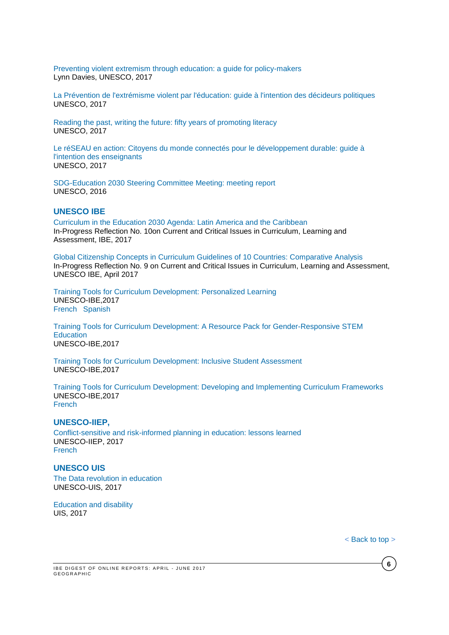[Preventing violent extremism through education: a guide for policy-makers](http://unesdoc.unesco.org/images/0024/002477/247764e.pdf) Lynn Davies, UNESCO, 2017

[La Prévention de l'extrémisme violent par l'éducation: guide à l'intention des décideurs politiques](http://unesdoc.unesco.org/images/0024/002480/248087f.pdf) UNESCO, 2017

[Reading the past, writing the future: fifty years of promoting literacy](http://unesdoc.unesco.org/images/0024/002475/247563e.pdf) UNESCO, 2017

[Le réSEAU en action: Citoyens du monde connectés pour le développement durable: guide à](http://unesdoc.unesco.org/images/0024/002478/247837f.pdf)  [l'intention des enseignants](http://unesdoc.unesco.org/images/0024/002478/247837f.pdf) UNESCO, 2017

[SDG-Education 2030 Steering Committee Meeting: meeting report](http://unesdoc.unesco.org/images/0024/002496/249640e.pdf) UNESCO, 2016

### **UNESCO IBE**

[Curriculum in the Education 2030 Agenda: Latin America and the Caribbean](http://unesdoc.unesco.org/images/0024/002482/248238e.pdf) In-Progress Reflection No. 10on Current and Critical Issues in Curriculum, Learning and Assessment, IBE, 2017

[Global Citizenship Concepts in Curriculum Guidelines of 10 Countries: Comparative Analysis](http://unesdoc.unesco.org/images/0024/002477/247788E.pdf) In-Progress Reflection No. 9 on Current and Critical Issues in Curriculum, Learning and Assessment, UNESCO IBE, April 2017

[Training Tools for Curriculum Development: Personalized Learning](http://unesdoc.unesco.org/images/0025/002500/250057e.pdf) UNESCO-IBE,2017 [French](http://unesdoc.unesco.org/images/0025/002500/250057f.pdf) [Spanish](http://unesdoc.unesco.org/images/0025/002500/250057s.pdf)

[Training Tools for Curriculum Development: A Resource Pack for Gender-Responsive STEM](http://unesdoc.unesco.org/images/0025/002505/250567E.pdf)  **[Education](http://unesdoc.unesco.org/images/0025/002505/250567E.pdf)** UNESCO-IBE,2017

[Training Tools for Curriculum Development: Inclusive Student Assessment](http://unesdoc.unesco.org/images/0025/002500/250054e.pdf) UNESCO-IBE,2017

[Training Tools for Curriculum Development: Developing and Implementing Curriculum Frameworks](http://unesdoc.unesco.org/images/0025/002500/250052e.pdf) UNESCO-IBE,2017 [French](http://unesdoc.unesco.org/images/0025/002500/250052f.pdf)

#### **UNESCO-IIEP,**

[Conflict-sensitive and risk-informed planning in education: lessons learned](http://unesdoc.unesco.org/images/0024/002471/247146e.pdf) UNESCO-IIEP, 2017 **[French](http://unesdoc.unesco.org/images/0024/002471/247146f.pdf)** 

#### **UNESCO UIS**

[The Data revolution in education](http://unesdoc.unesco.org/images/0024/002477/247780e.pdf) UNESCO-UIS, 2017

[Education and disability](http://unesdoc.unesco.org/images/0024/002475/247516e.pdf) UIS, 2017